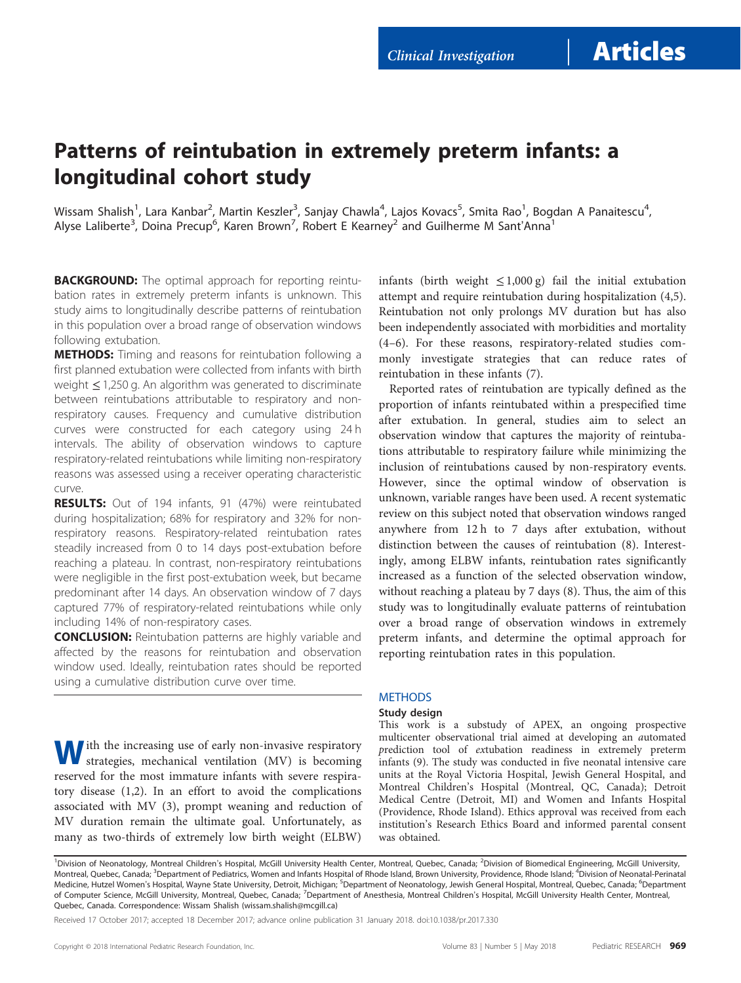Clinical Investigation | **Articles** 

## Patterns of reintubation in extremely preterm infants: a longitudinal cohort study

Wissam Shalish<sup>1</sup>, Lara Kanbar<sup>2</sup>, Martin Keszler<sup>3</sup>, Sanjay Chawla<sup>4</sup>, Lajos Kovacs<sup>5</sup>, Smita Rao<sup>1</sup>, Bogdan A Panaitescu<sup>4</sup> .<br>י Alyse Laliberte<sup>3</sup>, Doina Precup<sup>6</sup>, Karen Brown<sup>7</sup>, Robert E Kearney<sup>2</sup> and Guilherme M Sant'Anna<sup>1</sup>

**BACKGROUND:** The optimal approach for reporting reintubation rates in extremely preterm infants is unknown. This study aims to longitudinally describe patterns of reintubation in this population over a broad range of observation windows following extubation.

**METHODS:** Timing and reasons for reintubation following a first planned extubation were collected from infants with birth weight ≤ 1,250 g. An algorithm was generated to discriminate between reintubations attributable to respiratory and nonrespiratory causes. Frequency and cumulative distribution curves were constructed for each category using 24 h intervals. The ability of observation windows to capture respiratory-related reintubations while limiting non-respiratory reasons was assessed using a receiver operating characteristic curve.

RESULTS: Out of 194 infants, 91 (47%) were reintubated during hospitalization; 68% for respiratory and 32% for nonrespiratory reasons. Respiratory-related reintubation rates steadily increased from 0 to 14 days post-extubation before reaching a plateau. In contrast, non-respiratory reintubations were negligible in the first post-extubation week, but became predominant after 14 days. An observation window of 7 days captured 77% of respiratory-related reintubations while only including 14% of non-respiratory cases.

**CONCLUSION:** Reintubation patterns are highly variable and affected by the reasons for reintubation and observation window used. Ideally, reintubation rates should be reported using a cumulative distribution curve over time.

infants (birth weight  $\leq 1,000 \text{ g}$ ) fail the initial extubation attempt and require reintubation during hospitalization [\(4,5](#page-5-0)). Reintubation not only prolongs MV duration but has also been independently associated with morbidities and mortality (4–[6\)](#page-5-0). For these reasons, respiratory-related studies commonly investigate strategies that can reduce rates of reintubation in these infants [\(7](#page-5-0)).

Reported rates of reintubation are typically defined as the proportion of infants reintubated within a prespecified time after extubation. In general, studies aim to select an observation window that captures the majority of reintubations attributable to respiratory failure while minimizing the inclusion of reintubations caused by non-respiratory events. However, since the optimal window of observation is unknown, variable ranges have been used. A recent systematic review on this subject noted that observation windows ranged anywhere from 12 h to 7 days after extubation, without distinction between the causes of reintubation [\(8\)](#page-5-0). Interestingly, among ELBW infants, reintubation rates significantly increased as a function of the selected observation window, without reaching a plateau by 7 days [\(8\)](#page-5-0). Thus, the aim of this study was to longitudinally evaluate patterns of reintubation over a broad range of observation windows in extremely preterm infants, and determine the optimal approach for reporting reintubation rates in this population.

### **METHODS**

### Study design

Ith the increasing use of early non-invasive respiratory strategies, mechanical ventilation (MV) is becoming reserved for the most immature infants with severe respiratory disease ([1,2\)](#page-5-0). In an effort to avoid the complications associated with MV ([3\)](#page-5-0), prompt weaning and reduction of MV duration remain the ultimate goal. Unfortunately, as many as two-thirds of extremely low birth weight (ELBW)

This work is a substudy of APEX, an ongoing prospective multicenter observational trial aimed at developing an automated prediction tool of extubation readiness in extremely preterm infants [\(9](#page-5-0)). The study was conducted in five neonatal intensive care units at the Royal Victoria Hospital, Jewish General Hospital, and Montreal Children's Hospital (Montreal, QC, Canada); Detroit Medical Centre (Detroit, MI) and Women and Infants Hospital (Providence, Rhode Island). Ethics approval was received from each institution's Research Ethics Board and informed parental consent was obtained.

Received 17 October 2017; accepted 18 December 2017; advance online publication 31 January 2018. doi[:10.1038/pr.2017.330](http://dx.doi.org/10.1038/pr.2017.330)

<sup>&</sup>lt;sup>1</sup> Division of Neonatology, Montreal Children's Hospital, McGill University Health Center, Montreal, Quebec, Canada; <sup>2</sup> Division of Biomedical Engineering, McGill University, Montreal, Quebec, Canada; <sup>3</sup>Department of Pediatrics, Women and Infants Hospital of Rhode Island, Brown University, Providence, Rhode Island; <sup>4</sup>Division of Neonatal-Perinatal Medicine, Hutzel Women's Hospital, Wayne State University, Detroit, Michigan; <sup>5</sup>Department of Neonatology, Jewish General Hospital, Montreal, Quebec, Canada; <sup>6</sup>Department of Computer Science, McGill University, Montreal, Quebec, Canada; <sup>7</sup>Department of Anesthesia, Montreal Children's Hospital, McGill University Health Center, Montreal, Quebec, Canada. Correspondence: Wissam Shalish [\(wissam.shalish@mcgill.ca\)](mailto:wissam.shalish@mcgill.ca)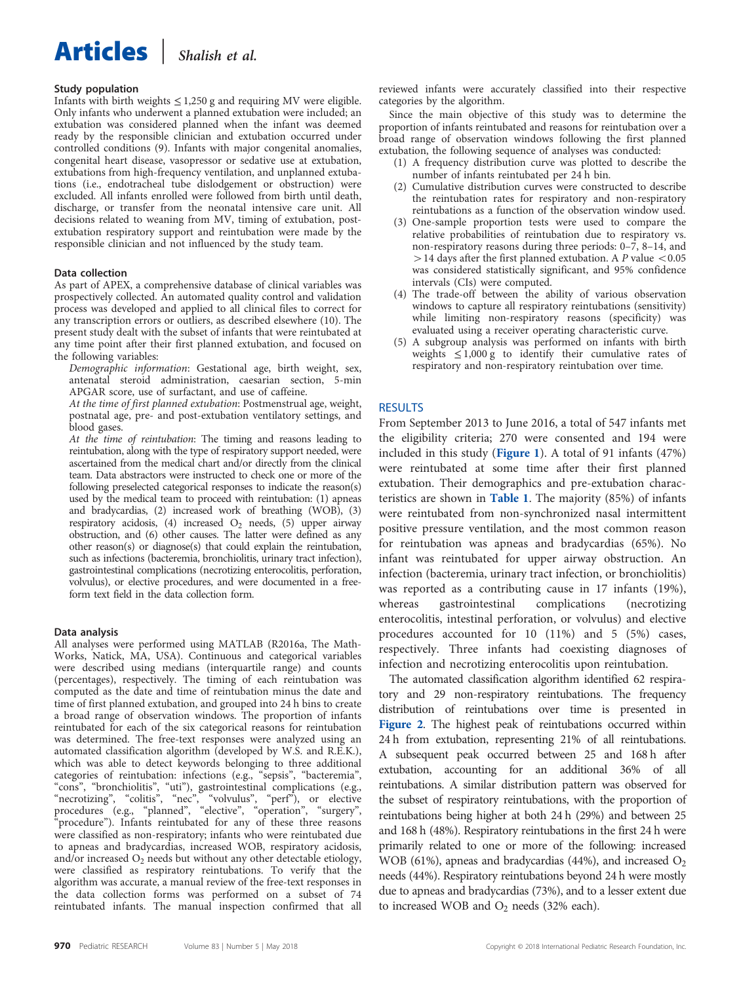# Articles | Shalish et al.

## Study population

Infants with birth weights  $\leq 1,250$  g and requiring MV were eligible. Only infants who underwent a planned extubation were included; an extubation was considered planned when the infant was deemed ready by the responsible clinician and extubation occurred under controlled conditions [\(9\)](#page-5-0). Infants with major congenital anomalies, congenital heart disease, vasopressor or sedative use at extubation, extubations from high-frequency ventilation, and unplanned extubations (i.e., endotracheal tube dislodgement or obstruction) were excluded. All infants enrolled were followed from birth until death, discharge, or transfer from the neonatal intensive care unit. All decisions related to weaning from MV, timing of extubation, postextubation respiratory support and reintubation were made by the responsible clinician and not influenced by the study team.

## Data collection

As part of APEX, a comprehensive database of clinical variables was prospectively collected. An automated quality control and validation process was developed and applied to all clinical files to correct for any transcription errors or outliers, as described elsewhere [\(10\)](#page-5-0). The present study dealt with the subset of infants that were reintubated at any time point after their first planned extubation, and focused on the following variables:

Demographic information: Gestational age, birth weight, sex, antenatal steroid administration, caesarian section, 5-min APGAR score, use of surfactant, and use of caffeine.

At the time of first planned extubation: Postmenstrual age, weight, postnatal age, pre- and post-extubation ventilatory settings, and blood gases.

At the time of reintubation: The timing and reasons leading to reintubation, along with the type of respiratory support needed, were ascertained from the medical chart and/or directly from the clinical team. Data abstractors were instructed to check one or more of the following preselected categorical responses to indicate the reason(s) used by the medical team to proceed with reintubation: (1) apneas and bradycardias, (2) increased work of breathing (WOB), (3) respiratory acidosis, (4) increased  $O_2$  needs, (5) upper airway obstruction, and (6) other causes. The latter were defined as any other reason(s) or diagnose(s) that could explain the reintubation, such as infections (bacteremia, bronchiolitis, urinary tract infection), gastrointestinal complications (necrotizing enterocolitis, perforation, volvulus), or elective procedures, and were documented in a freeform text field in the data collection form.

## Data analysis

All analyses were performed using MATLAB (R2016a, The Math-Works, Natick, MA, USA). Continuous and categorical variables were described using medians (interquartile range) and counts (percentages), respectively. The timing of each reintubation was computed as the date and time of reintubation minus the date and time of first planned extubation, and grouped into 24 h bins to create a broad range of observation windows. The proportion of infants reintubated for each of the six categorical reasons for reintubation was determined. The free-text responses were analyzed using an automated classification algorithm (developed by W.S. and R.E.K.), which was able to detect keywords belonging to three additional categories of reintubation: infections (e.g., "sepsis", "bacteremia", "cons", "bronchiolitis", "uti"), gastrointestinal complications (e.g., "necrotizing", "colitis", "nec", "volvulus", "perf"), or elective procedures (e.g., "planned", "elective", "operation", "surgery", "procedure"). Infants reintubated for any of these three reasons were classified as non-respiratory; infants who were reintubated due to apneas and bradycardias, increased WOB, respiratory acidosis, and/or increased  $O_2$  needs but without any other detectable etiology, were classified as respiratory reintubations. To verify that the algorithm was accurate, a manual review of the free-text responses in the data collection forms was performed on a subset of 74 reintubated infants. The manual inspection confirmed that all

reviewed infants were accurately classified into their respective categories by the algorithm.

Since the main objective of this study was to determine the proportion of infants reintubated and reasons for reintubation over a broad range of observation windows following the first planned extubation, the following sequence of analyses was conducted:

- (1) A frequency distribution curve was plotted to describe the number of infants reintubated per 24 h bin.
- (2) Cumulative distribution curves were constructed to describe the reintubation rates for respiratory and non-respiratory reintubations as a function of the observation window used.
- (3) One-sample proportion tests were used to compare the relative probabilities of reintubation due to respiratory vs. non-respiratory reasons during three periods: 0–7, 8–14, and  $>$  14 days after the first planned extubation. A P value  $<$  0.05 was considered statistically significant, and 95% confidence intervals (CIs) were computed.
- (4) The trade-off between the ability of various observation windows to capture all respiratory reintubations (sensitivity) while limiting non-respiratory reasons (specificity) was evaluated using a receiver operating characteristic curve.
- (5) A subgroup analysis was performed on infants with birth weights  $\leq 1,000 \text{ g}$  to identify their cumulative rates of respiratory and non-respiratory reintubation over time.

## RESULTS

From September 2013 to June 2016, a total of 547 infants met the eligibility criteria; 270 were consented and 194 were included in this study ([Figure 1](#page-2-0)). A total of 91 infants (47%) were reintubated at some time after their first planned extubation. Their demographics and pre-extubation characteristics are shown in [Table 1](#page-3-0). The majority (85%) of infants were reintubated from non-synchronized nasal intermittent positive pressure ventilation, and the most common reason for reintubation was apneas and bradycardias (65%). No infant was reintubated for upper airway obstruction. An infection (bacteremia, urinary tract infection, or bronchiolitis) was reported as a contributing cause in 17 infants (19%), whereas gastrointestinal complications (necrotizing enterocolitis, intestinal perforation, or volvulus) and elective procedures accounted for 10 (11%) and 5 (5%) cases, respectively. Three infants had coexisting diagnoses of infection and necrotizing enterocolitis upon reintubation.

The automated classification algorithm identified 62 respiratory and 29 non-respiratory reintubations. The frequency distribution of reintubations over time is presented in [Figure 2](#page-3-0). The highest peak of reintubations occurred within 24 h from extubation, representing 21% of all reintubations. A subsequent peak occurred between 25 and 168 h after extubation, accounting for an additional 36% of all reintubations. A similar distribution pattern was observed for the subset of respiratory reintubations, with the proportion of reintubations being higher at both 24 h (29%) and between 25 and 168 h (48%). Respiratory reintubations in the first 24 h were primarily related to one or more of the following: increased WOB (61%), apneas and bradycardias (44%), and increased  $O_2$ needs (44%). Respiratory reintubations beyond 24 h were mostly due to apneas and bradycardias (73%), and to a lesser extent due to increased WOB and  $O_2$  needs (32% each).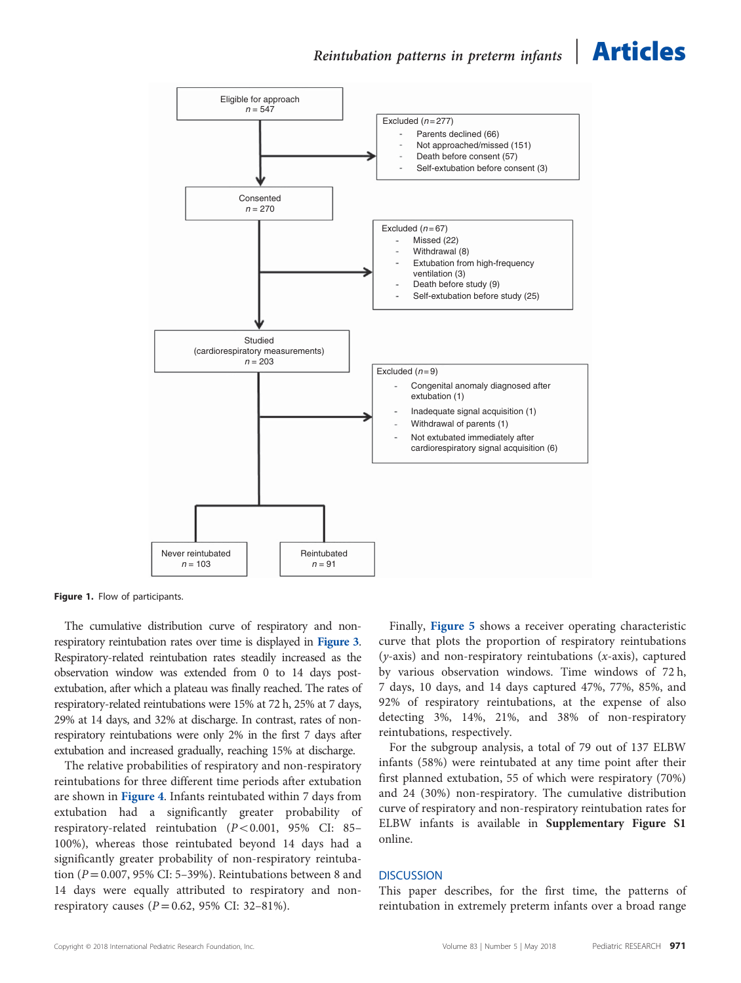<span id="page-2-0"></span>

Figure 1. Flow of participants.

The cumulative distribution curve of respiratory and nonrespiratory reintubation rates over time is displayed in [Figure 3](#page-3-0). Respiratory-related reintubation rates steadily increased as the observation window was extended from 0 to 14 days postextubation, after which a plateau was finally reached. The rates of respiratory-related reintubations were 15% at 72 h, 25% at 7 days, 29% at 14 days, and 32% at discharge. In contrast, rates of nonrespiratory reintubations were only 2% in the first 7 days after extubation and increased gradually, reaching 15% at discharge.

The relative probabilities of respiratory and non-respiratory reintubations for three different time periods after extubation are shown in [Figure 4](#page-3-0). Infants reintubated within 7 days from extubation had a significantly greater probability of respiratory-related reintubation  $(P<0.001, 95\%$  CI: 85– 100%), whereas those reintubated beyond 14 days had a significantly greater probability of non-respiratory reintubation ( $P = 0.007$ , 95% CI: 5–39%). Reintubations between 8 and 14 days were equally attributed to respiratory and nonrespiratory causes ( $P = 0.62$ , 95% CI: 32-81%).

Finally, [Figure 5](#page-4-0) shows a receiver operating characteristic curve that plots the proportion of respiratory reintubations  $(y-axis)$  and non-respiratory reintubations  $(x-axis)$ , captured by various observation windows. Time windows of 72 h, 7 days, 10 days, and 14 days captured 47%, 77%, 85%, and 92% of respiratory reintubations, at the expense of also detecting 3%, 14%, 21%, and 38% of non-respiratory reintubations, respectively.

For the subgroup analysis, a total of 79 out of 137 ELBW infants (58%) were reintubated at any time point after their first planned extubation, 55 of which were respiratory (70%) and 24 (30%) non-respiratory. The cumulative distribution curve of respiratory and non-respiratory reintubation rates for ELBW infants is available in Supplementary Figure S1 online.

### **DISCUSSION**

This paper describes, for the first time, the patterns of reintubation in extremely preterm infants over a broad range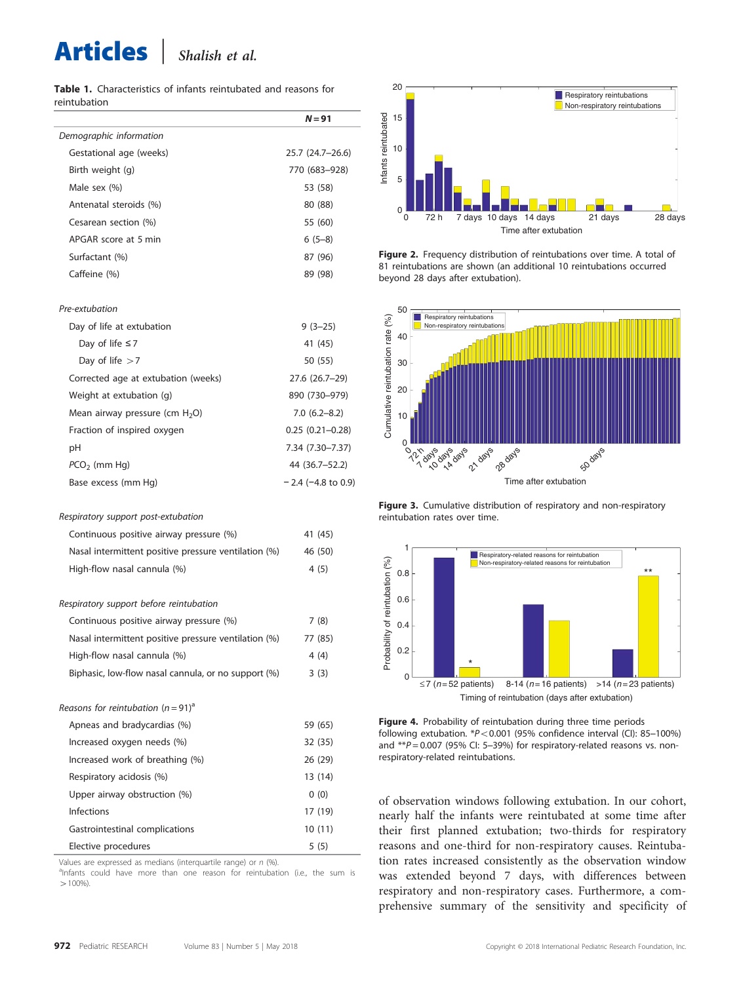# <span id="page-3-0"></span>Articles <sup>|</sup> Shalish et al.

Table 1. Characteristics of infants reintubated and reasons for reintubation

|                         | $N = 91$         |
|-------------------------|------------------|
| Demographic information |                  |
| Gestational age (weeks) | 25.7 (24.7-26.6) |
| Birth weight (g)        | 770 (683-928)    |
| Male sex $(\%)$         | 53 (58)          |
| Antenatal steroids (%)  | 80 (88)          |
| Cesarean section (%)    | 55 (60)          |
| APGAR score at 5 min    | $6(5-8)$         |
| Surfactant (%)          | 87 (96)          |
| Caffeine (%)            | 89 (98)          |

### Pre-extubation

| Day of life at extubation           | $9(3-25)$            |
|-------------------------------------|----------------------|
| Day of life $\leq 7$                | 41 (45)              |
| Day of life $>7$                    | 50 (55)              |
| Corrected age at extubation (weeks) | 27.6 (26.7-29)       |
| Weight at extubation (g)            | 890 (730-979)        |
| Mean airway pressure (cm $H_2O$ )   | $7.0(6.2 - 8.2)$     |
| Fraction of inspired oxygen         | $0.25(0.21 - 0.28)$  |
| рH                                  | 7.34 (7.30–7.37)     |
| $PCO2$ (mm Hq)                      | 44 (36.7–52.2)       |
| Base excess (mm Hg)                 | $-2.4$ (-4.8 to 0.9) |

#### Respiratory support post-extubation

| Continuous positive airway pressure (%)              | 41 (45) |
|------------------------------------------------------|---------|
| Nasal intermittent positive pressure ventilation (%) | 46 (50) |
| High-flow nasal cannula (%)                          | 4(5)    |
|                                                      |         |

## $\mathbb{R}^p$  at  $\mathbb{R}^p$  support before reference references

| Continuous positive airway pressure (%)              | 7(8)    |
|------------------------------------------------------|---------|
| Nasal intermittent positive pressure ventilation (%) | 77 (85) |
| High-flow nasal cannula (%)                          | 4(4)    |
| Biphasic, low-flow nasal cannula, or no support (%)  | 3(3)    |

### Reasons for reintubation  $(n = 91)^{a}$

| Apneas and bradycardias (%)     | 59 (65) |
|---------------------------------|---------|
| Increased oxygen needs (%)      | 32 (35) |
| Increased work of breathing (%) | 26 (29) |
| Respiratory acidosis (%)        | 13 (14) |
| Upper airway obstruction (%)    | 0(0)    |
| Infections                      | 17 (19) |
| Gastrointestinal complications  | 10(11)  |
| Elective procedures             | 5(5)    |

Values are expressed as medians (interquartile range) or  $n$  (%).

<sup>a</sup>Infants could have more than one reason for reintubation (i.e., the sum is  $>100\%$ 



Figure 2. Frequency distribution of reintubations over time. A total of 81 reintubations are shown (an additional 10 reintubations occurred beyond 28 days after extubation).



Figure 3. Cumulative distribution of respiratory and non-respiratory reintubation rates over time.



Figure 4. Probability of reintubation during three time periods following extubation.  $*P<0.001$  (95% confidence interval (CI): 85-100%) and  $*p = 0.007$  (95% Cl: 5-39%) for respiratory-related reasons vs. nonrespiratory-related reintubations.

of observation windows following extubation. In our cohort, nearly half the infants were reintubated at some time after their first planned extubation; two-thirds for respiratory reasons and one-third for non-respiratory causes. Reintubation rates increased consistently as the observation window was extended beyond 7 days, with differences between respiratory and non-respiratory cases. Furthermore, a comprehensive summary of the sensitivity and specificity of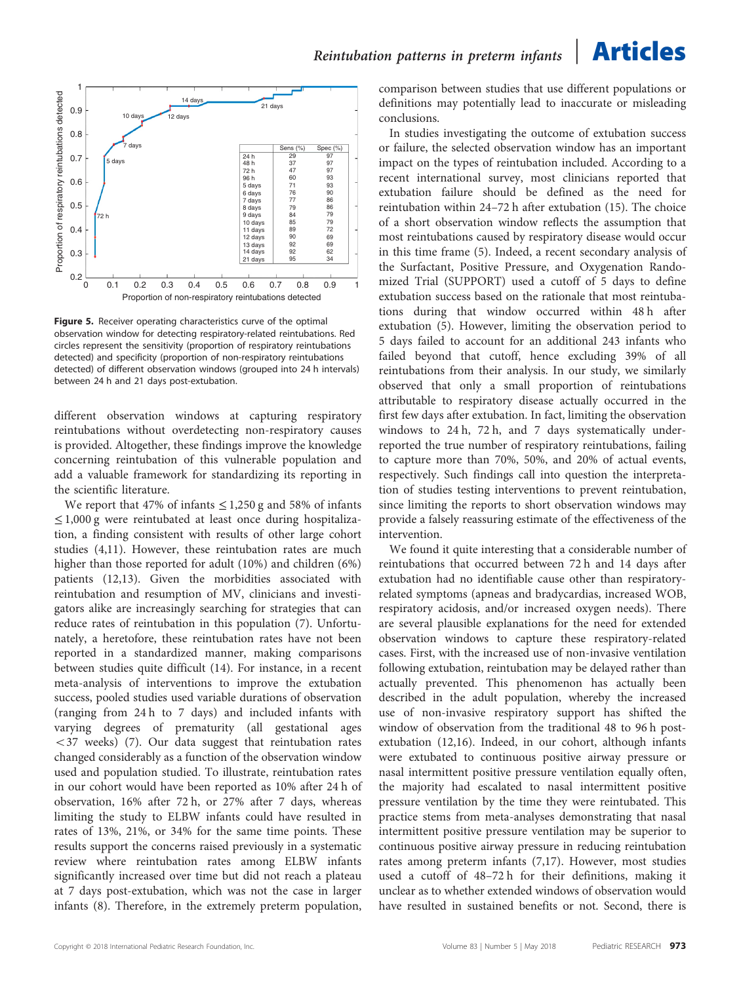<span id="page-4-0"></span>

Figure 5. Receiver operating characteristics curve of the optimal observation window for detecting respiratory-related reintubations. Red circles represent the sensitivity (proportion of respiratory reintubations detected) and specificity (proportion of non-respiratory reintubations detected) of different observation windows (grouped into 24 h intervals) between 24 h and 21 days post-extubation.

different observation windows at capturing respiratory reintubations without overdetecting non-respiratory causes is provided. Altogether, these findings improve the knowledge concerning reintubation of this vulnerable population and add a valuable framework for standardizing its reporting in the scientific literature.

We report that 47% of infants  $\leq 1,250$  g and 58% of infants ≤1,000 g were reintubated at least once during hospitalization, a finding consistent with results of other large cohort studies [\(4,11\)](#page-5-0). However, these reintubation rates are much higher than those reported for adult (10%) and children (6%) patients [\(12,13](#page-6-0)). Given the morbidities associated with reintubation and resumption of MV, clinicians and investigators alike are increasingly searching for strategies that can reduce rates of reintubation in this population ([7](#page-5-0)). Unfortunately, a heretofore, these reintubation rates have not been reported in a standardized manner, making comparisons between studies quite difficult [\(14\)](#page-6-0). For instance, in a recent meta-analysis of interventions to improve the extubation success, pooled studies used variable durations of observation (ranging from 24 h to 7 days) and included infants with varying degrees of prematurity (all gestational ages  $<$  3[7](#page-5-0) weeks) (7). Our data suggest that reintubation rates changed considerably as a function of the observation window used and population studied. To illustrate, reintubation rates in our cohort would have been reported as 10% after 24 h of observation, 16% after 72 h, or 27% after 7 days, whereas limiting the study to ELBW infants could have resulted in rates of 13%, 21%, or 34% for the same time points. These results support the concerns raised previously in a systematic review where reintubation rates among ELBW infants significantly increased over time but did not reach a plateau at 7 days post-extubation, which was not the case in larger infants [\(8](#page-5-0)). Therefore, in the extremely preterm population,

comparison between studies that use different populations or definitions may potentially lead to inaccurate or misleading conclusions.

In studies investigating the outcome of extubation success or failure, the selected observation window has an important impact on the types of reintubation included. According to a recent international survey, most clinicians reported that extubation failure should be defined as the need for reintubation within 24–72 h after extubation ([15](#page-6-0)). The choice of a short observation window reflects the assumption that most reintubations caused by respiratory disease would occur in this time frame [\(5](#page-5-0)). Indeed, a recent secondary analysis of the Surfactant, Positive Pressure, and Oxygenation Randomized Trial (SUPPORT) used a cutoff of 5 days to define extubation success based on the rationale that most reintubations during that window occurred within 48 h after extubation ([5](#page-5-0)). However, limiting the observation period to 5 days failed to account for an additional 243 infants who failed beyond that cutoff, hence excluding 39% of all reintubations from their analysis. In our study, we similarly observed that only a small proportion of reintubations attributable to respiratory disease actually occurred in the first few days after extubation. In fact, limiting the observation windows to 24 h, 72 h, and 7 days systematically underreported the true number of respiratory reintubations, failing to capture more than 70%, 50%, and 20% of actual events, respectively. Such findings call into question the interpretation of studies testing interventions to prevent reintubation, since limiting the reports to short observation windows may provide a falsely reassuring estimate of the effectiveness of the intervention.

We found it quite interesting that a considerable number of reintubations that occurred between 72 h and 14 days after extubation had no identifiable cause other than respiratoryrelated symptoms (apneas and bradycardias, increased WOB, respiratory acidosis, and/or increased oxygen needs). There are several plausible explanations for the need for extended observation windows to capture these respiratory-related cases. First, with the increased use of non-invasive ventilation following extubation, reintubation may be delayed rather than actually prevented. This phenomenon has actually been described in the adult population, whereby the increased use of non-invasive respiratory support has shifted the window of observation from the traditional 48 to 96 h postextubation [\(12,16](#page-6-0)). Indeed, in our cohort, although infants were extubated to continuous positive airway pressure or nasal intermittent positive pressure ventilation equally often, the majority had escalated to nasal intermittent positive pressure ventilation by the time they were reintubated. This practice stems from meta-analyses demonstrating that nasal intermittent positive pressure ventilation may be superior to continuous positive airway pressure in reducing reintubation rates among preterm infants [\(7,](#page-5-0)[17\)](#page-6-0). However, most studies used a cutoff of 48–72 h for their definitions, making it unclear as to whether extended windows of observation would have resulted in sustained benefits or not. Second, there is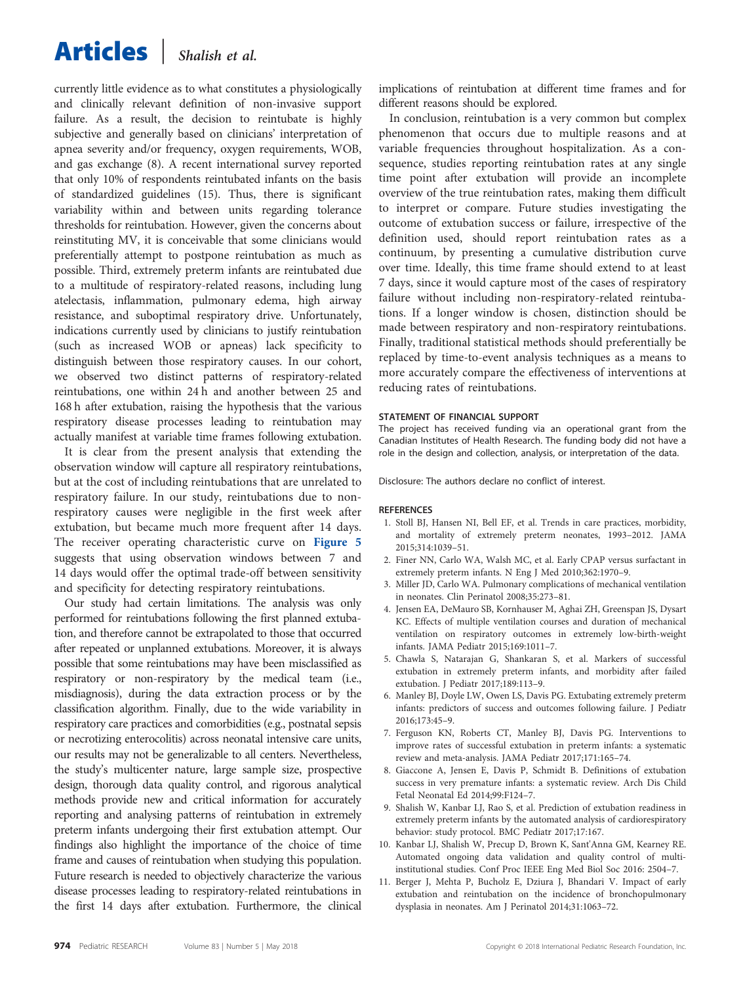## <span id="page-5-0"></span>Articles <sup>|</sup> Shalish et al.

currently little evidence as to what constitutes a physiologically and clinically relevant definition of non-invasive support failure. As a result, the decision to reintubate is highly subjective and generally based on clinicians' interpretation of apnea severity and/or frequency, oxygen requirements, WOB, and gas exchange (8). A recent international survey reported that only 10% of respondents reintubated infants on the basis of standardized guidelines [\(15\)](#page-6-0). Thus, there is significant variability within and between units regarding tolerance thresholds for reintubation. However, given the concerns about reinstituting MV, it is conceivable that some clinicians would preferentially attempt to postpone reintubation as much as possible. Third, extremely preterm infants are reintubated due to a multitude of respiratory-related reasons, including lung atelectasis, inflammation, pulmonary edema, high airway resistance, and suboptimal respiratory drive. Unfortunately, indications currently used by clinicians to justify reintubation (such as increased WOB or apneas) lack specificity to distinguish between those respiratory causes. In our cohort, we observed two distinct patterns of respiratory-related reintubations, one within 24 h and another between 25 and 168 h after extubation, raising the hypothesis that the various respiratory disease processes leading to reintubation may actually manifest at variable time frames following extubation.

It is clear from the present analysis that extending the observation window will capture all respiratory reintubations, but at the cost of including reintubations that are unrelated to respiratory failure. In our study, reintubations due to nonrespiratory causes were negligible in the first week after extubation, but became much more frequent after 14 days. The receiver operating characteristic curve on [Figure 5](#page-4-0) suggests that using observation windows between 7 and 14 days would offer the optimal trade-off between sensitivity and specificity for detecting respiratory reintubations.

Our study had certain limitations. The analysis was only performed for reintubations following the first planned extubation, and therefore cannot be extrapolated to those that occurred after repeated or unplanned extubations. Moreover, it is always possible that some reintubations may have been misclassified as respiratory or non-respiratory by the medical team (i.e., misdiagnosis), during the data extraction process or by the classification algorithm. Finally, due to the wide variability in respiratory care practices and comorbidities (e.g., postnatal sepsis or necrotizing enterocolitis) across neonatal intensive care units, our results may not be generalizable to all centers. Nevertheless, the study's multicenter nature, large sample size, prospective design, thorough data quality control, and rigorous analytical methods provide new and critical information for accurately reporting and analysing patterns of reintubation in extremely preterm infants undergoing their first extubation attempt. Our findings also highlight the importance of the choice of time frame and causes of reintubation when studying this population. Future research is needed to objectively characterize the various disease processes leading to respiratory-related reintubations in the first 14 days after extubation. Furthermore, the clinical

implications of reintubation at different time frames and for different reasons should be explored.

In conclusion, reintubation is a very common but complex phenomenon that occurs due to multiple reasons and at variable frequencies throughout hospitalization. As a consequence, studies reporting reintubation rates at any single time point after extubation will provide an incomplete overview of the true reintubation rates, making them difficult to interpret or compare. Future studies investigating the outcome of extubation success or failure, irrespective of the definition used, should report reintubation rates as a continuum, by presenting a cumulative distribution curve over time. Ideally, this time frame should extend to at least 7 days, since it would capture most of the cases of respiratory failure without including non-respiratory-related reintubations. If a longer window is chosen, distinction should be made between respiratory and non-respiratory reintubations. Finally, traditional statistical methods should preferentially be replaced by time-to-event analysis techniques as a means to more accurately compare the effectiveness of interventions at reducing rates of reintubations.

### STATEMENT OF FINANCIAL SUPPORT

The project has received funding via an operational grant from the Canadian Institutes of Health Research. The funding body did not have a role in the design and collection, analysis, or interpretation of the data.

Disclosure: The authors declare no conflict of interest.

### REFERENCES

- 1. Stoll BJ, Hansen NI, Bell EF, et al. Trends in care practices, morbidity, and mortality of extremely preterm neonates, 1993–2012. JAMA 2015;314:1039–51.
- 2. Finer NN, Carlo WA, Walsh MC, et al. Early CPAP versus surfactant in extremely preterm infants. N Eng J Med 2010;362:1970–9.
- 3. Miller JD, Carlo WA. Pulmonary complications of mechanical ventilation in neonates. Clin Perinatol 2008;35:273–81.
- 4. Jensen EA, DeMauro SB, Kornhauser M, Aghai ZH, Greenspan JS, Dysart KC. Effects of multiple ventilation courses and duration of mechanical ventilation on respiratory outcomes in extremely low-birth-weight infants. JAMA Pediatr 2015;169:1011–7.
- 5. Chawla S, Natarajan G, Shankaran S, et al. Markers of successful extubation in extremely preterm infants, and morbidity after failed extubation. J Pediatr 2017;189:113–9.
- 6. Manley BJ, Doyle LW, Owen LS, Davis PG. Extubating extremely preterm infants: predictors of success and outcomes following failure. J Pediatr 2016;173:45–9.
- 7. Ferguson KN, Roberts CT, Manley BJ, Davis PG. Interventions to improve rates of successful extubation in preterm infants: a systematic review and meta-analysis. JAMA Pediatr 2017;171:165–74.
- 8. Giaccone A, Jensen E, Davis P, Schmidt B. Definitions of extubation success in very premature infants: a systematic review. Arch Dis Child Fetal Neonatal Ed 2014;99:F124–7.
- 9. Shalish W, Kanbar LJ, Rao S, et al. Prediction of extubation readiness in extremely preterm infants by the automated analysis of cardiorespiratory behavior: study protocol. BMC Pediatr 2017;17:167.
- 10. Kanbar LJ, Shalish W, Precup D, Brown K, Sant'Anna GM, Kearney RE. Automated ongoing data validation and quality control of multiinstitutional studies. Conf Proc IEEE Eng Med Biol Soc 2016: 2504–7.
- 11. Berger J, Mehta P, Bucholz E, Dziura J, Bhandari V. Impact of early extubation and reintubation on the incidence of bronchopulmonary dysplasia in neonates. Am J Perinatol 2014;31:1063–72.